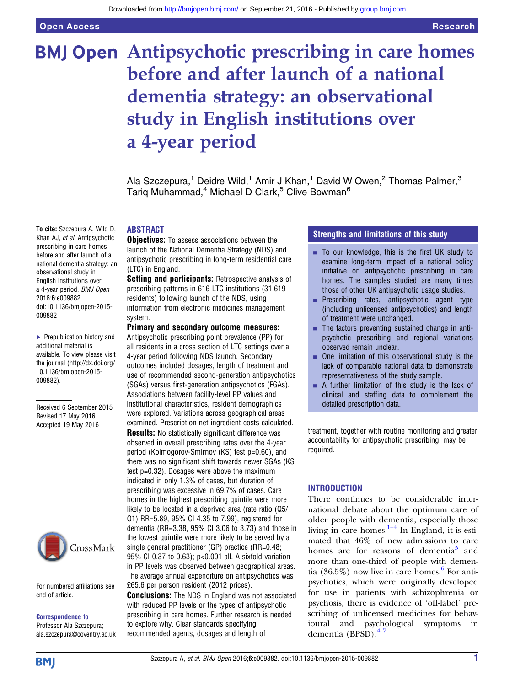To cite: Szczepura A, Wild D, Khan AJ, et al. Antipsychotic prescribing in care homes before and after launch of a national dementia strategy: an observational study in English institutions over a 4-year period. BMJ Open 2016;6:e009882.

doi:10.1136/bmjopen-2015-

▶ Prepublication history and additional material is available. To view please visit the journal [\(http://dx.doi.org/](http://dx.doi.org/10.1136/bmjopen-2015-009882) [10.1136/bmjopen-2015-](http://dx.doi.org/10.1136/bmjopen-2015-009882)

Received 6 September 2015 Revised 17 May 2016 Accepted 19 May 2016

009882

[009882\)](http://dx.doi.org/10.1136/bmjopen-2015-009882).

# **BMJ Open Antipsychotic prescribing in care homes** before and after launch of a national dementia strategy: an observational study in English institutions over a 4-year period

Ala Szczepura,<sup>1</sup> Deidre Wild,<sup>1</sup> Amir J Khan,<sup>1</sup> David W Owen,<sup>2</sup> Thomas Palmer,<sup>3</sup> Tariq Muhammad,<sup>4</sup> Michael D Clark,<sup>5</sup> Clive Bowman<sup>6</sup>

# ABSTRACT

**Objectives:** To assess associations between the launch of the National Dementia Strategy (NDS) and antipsychotic prescribing in long-term residential care (LTC) in England.

Setting and participants: Retrospective analysis of prescribing patterns in 616 LTC institutions (31 619 residents) following launch of the NDS, using information from electronic medicines management system.

#### Primary and secondary outcome measures:

Antipsychotic prescribing point prevalence (PP) for all residents in a cross section of LTC settings over a 4-year period following NDS launch. Secondary outcomes included dosages, length of treatment and use of recommended second-generation antipsychotics (SGAs) versus first-generation antipsychotics (FGAs). Associations between facility-level PP values and institutional characteristics, resident demographics were explored. Variations across geographical areas examined. Prescription net ingredient costs calculated.

Results: No statistically significant difference was observed in overall prescribing rates over the 4-year period (Kolmogorov-Smirnov (KS) test p=0.60), and there was no significant shift towards newer SGAs (KS test p=0.32). Dosages were above the maximum indicated in only 1.3% of cases, but duration of prescribing was excessive in 69.7% of cases. Care homes in the highest prescribing quintile were more likely to be located in a deprived area (rate ratio (Q5/ Q1) RR=5.89, 95% CI 4.35 to 7.99), registered for dementia (RR=3.38, 95% CI 3.06 to 3.73) and those in the lowest quintile were more likely to be served by a single general practitioner (GP) practice (RR=0.48; 95% CI 0.37 to 0.63); p<0.001 all. A sixfold variation in PP levels was observed between geographical areas. The average annual expenditure on antipsychotics was £65.6 per person resident (2012 prices). **Conclusions:** The NDS in England was not associated with reduced PP levels or the types of antipsychotic

prescribing in care homes. Further research is needed

to explore why. Clear standards specifying recommended agents, dosages and length of

## Strengths and limitations of this study

- $\blacksquare$  To our knowledge, this is the first UK study to examine long-term impact of a national policy initiative on antipsychotic prescribing in care homes. The samples studied are many times those of other UK antipsychotic usage studies.
- **•** Prescribing rates, antipsychotic agent type (including unlicensed antipsychotics) and length of treatment were unchanged.
- $\blacksquare$  The factors preventing sustained change in antipsychotic prescribing and regional variations observed remain unclear.
- $\blacksquare$  One limitation of this observational study is the lack of comparable national data to demonstrate representativeness of the study sample.
- $\blacksquare$  A further limitation of this study is the lack of clinical and staffing data to complement the detailed prescription data.

treatment, together with routine monitoring and greater accountability for antipsychotic prescribing, may be required.

#### INTRODUCTION

There continues to be considerable international debate about the optimum care of older people with d[eme](#page-8-0)ntia, especially those living in care homes. $1-4$  In England, it is estimated that 46% of new admissions to care homes are for reasons of dementia<sup>5</sup> and more than one-third of people with demen-tia (3[6](#page-8-0).5%) now live in care homes.<sup>6</sup> For antipsychotics, which were originally developed for use in patients with schizophrenia or psychosis, there is evidence of 'off-label' prescribing of unlicensed medicines for behavioural and psychological symptoms in dementia (BPSD).<sup>47</sup>

CrossMark

For numbered affiliations see end of article.

Correspondence to

Professor Ala Szczepura; ala.szczepura@coventry.ac.uk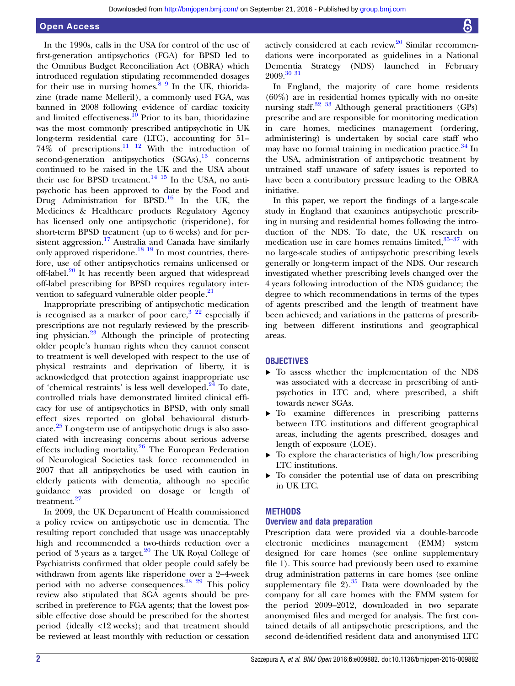#### Open Access

In the 1990s, calls in the USA for control of the use of first-generation antipsychotics (FGA) for BPSD led to the Omnibus Budget Reconciliation Act (OBRA) which introduced regulation stipulating recommended dosages for their use in nursing homes.<sup>[8 9](#page-8-0)</sup> In the UK, thioridazine (trade name Melleril), a commonly used FGA, was banned in 2008 following evidence of cardiac toxicity and limited effectiveness.<sup>[10](#page-8-0)</sup> Prior to its ban, thioridazine was the most commonly prescribed antipsychotic in UK long-term residential care (LTC), accounting for 51–  $74\%$  of prescriptions. $\frac{11 \text{ } 12 \text{ }}{11 \text{ } 12 \text{ }}$  With the introduction of second-generation antipsychotics  $(SGAs),<sup>13</sup>$  $(SGAs),<sup>13</sup>$  $(SGAs),<sup>13</sup>$  concerns continued to be raised in the UK and the USA about their use for BPSD treatment.<sup>[14 15](#page-8-0)</sup> In the USA, no antipsychotic has been approved to date by the Food and Drug Administration for BPSD.[16](#page-8-0) In the UK, the Medicines & Healthcare products Regulatory Agency has licensed only one antipsychotic (risperidone), for short-term BPSD treatment (up to 6 weeks) and for per-sistent aggression.<sup>[17](#page-8-0)</sup> Australia and Canada have similarly only approved risperidone.<sup>[18 19](#page-8-0)</sup> In most countries, therefore, use of other antipsychotics remains unlicensed or off-label. $^{20}$  $^{20}$  $^{20}$  It has recently been argued that widespread off-label prescribing for BPSD requires regulatory inter-vention to safeguard vulnerable older people.<sup>[21](#page-8-0)</sup>

Inappropriate prescribing of antipsychotic medication is recognised as a marker of poor care,  $322$  especially if prescriptions are not regularly reviewed by the prescribing physician.[23](#page-8-0) Although the principle of protecting older people's human rights when they cannot consent to treatment is well developed with respect to the use of physical restraints and deprivation of liberty, it is acknowledged that protection against inappropriate use of 'chemical restraints' is less well developed. $^{24}$  To date, controlled trials have demonstrated limited clinical efficacy for use of antipsychotics in BPSD, with only small effect sizes reported on global behavioural disturbance.[25](#page-8-0) Long-term use of antipsychotic drugs is also associated with increasing concerns about serious adverse effects including mortality[.26](#page-8-0) The European Federation of Neurological Societies task force recommended in 2007 that all antipsychotics be used with caution in elderly patients with dementia, although no specific guidance was provided on dosage or length of treatment.<sup>[27](#page-8-0)</sup>

In 2009, the UK Department of Health commissioned a policy review on antipsychotic use in dementia. The resulting report concluded that usage was unacceptably high and recommended a two-thirds reduction over a period of 3 years as a target. $20$  The UK Royal College of Psychiatrists confirmed that older people could safely be withdrawn from agents like risperidone over a 2–4-week period with no adverse consequences. $^{28}$   $^{29}$  This policy review also stipulated that SGA agents should be prescribed in preference to FGA agents; that the lowest possible effective dose should be prescribed for the shortest period (ideally <12 weeks); and that treatment should be reviewed at least monthly with reduction or cessation

actively considered at each review. $20$  Similar recommendations were incorporated as guidelines in a National Dementia Strategy (NDS) launched in February  $2009.$ <sup>[30 31](#page-9-0)</sup>

In England, the majority of care home residents (60%) are in residential homes typically with no on-site nursing staff.<sup>32</sup> <sup>33</sup> Although general practitioners (GPs) prescribe and are responsible for monitoring medication in care homes, medicines management (ordering, administering) is undertaken by social care staff who may have no formal training in medication practice.<sup>[34](#page-9-0)</sup> In the USA, administration of antipsychotic treatment by untrained staff unaware of safety issues is reported to have been a contributory pressure leading to the OBRA initiative.

In this paper, we report the findings of a large-scale study in England that examines antipsychotic prescribing in nursing and residential homes following the introduction of the NDS. To date, the UK research on medication use in care homes remains limited, $35-37$  $35-37$  with no large-scale studies of antipsychotic prescribing levels generally or long-term impact of the NDS. Our research investigated whether prescribing levels changed over the 4 years following introduction of the NDS guidance; the degree to which recommendations in terms of the types of agents prescribed and the length of treatment have been achieved; and variations in the patterns of prescribing between different institutions and geographical areas.

#### **OBJECTIVES**

- ▸ To assess whether the implementation of the NDS was associated with a decrease in prescribing of antipsychotics in LTC and, where prescribed, a shift towards newer SGAs.
- ▸ To examine differences in prescribing patterns between LTC institutions and different geographical areas, including the agents prescribed, dosages and length of exposure (LOE).
- $\triangleright$  To explore the characteristics of high/low prescribing LTC institutions.
- ▸ To consider the potential use of data on prescribing in UK LTC.

#### **METHODS**

#### Overview and data preparation

Prescription data were provided via a double-barcode electronic medicines management (EMM) system designed for care homes (see online supplementary file 1). This source had previously been used to examine drug administration patterns in care homes (see online supplementary file  $2$ ).<sup>[35](#page-9-0)</sup> Data were downloaded by the company for all care homes with the EMM system for the period 2009–2012, downloaded in two separate anonymised files and merged for analysis. The first contained details of all antipsychotic prescriptions, and the second de-identified resident data and anonymised LTC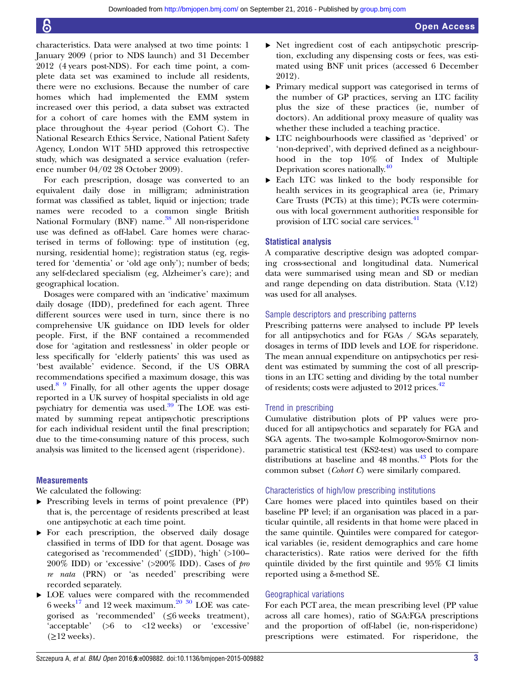characteristics. Data were analysed at two time points: 1 January 2009 (prior to NDS launch) and 31 December 2012 (4 years post-NDS). For each time point, a complete data set was examined to include all residents, there were no exclusions. Because the number of care homes which had implemented the EMM system increased over this period, a data subset was extracted for a cohort of care homes with the EMM system in place throughout the 4-year period (Cohort C). The National Research Ethics Service, National Patient Safety Agency, London W1T 5HD approved this retrospective study, which was designated a service evaluation (reference number 04/02 28 October 2009).

For each prescription, dosage was converted to an equivalent daily dose in milligram; administration format was classified as tablet, liquid or injection; trade names were recoded to a common single British National Formulary (BNF) name.<sup>[38](#page-9-0)</sup> All non-risperidone use was defined as off-label. Care homes were characterised in terms of following: type of institution (eg, nursing, residential home); registration status (eg, registered for 'dementia' or 'old age only'); number of beds; any self-declared specialism (eg, Alzheimer's care); and geographical location.

Dosages were compared with an 'indicative' maximum daily dosage (IDD), predefined for each agent. Three different sources were used in turn, since there is no comprehensive UK guidance on IDD levels for older people. First, if the BNF contained a recommended dose for 'agitation and restlessness' in older people or less specifically for 'elderly patients' this was used as 'best available' evidence. Second, if the US OBRA recommendations specified a maximum dosage, this was used. $8\frac{9}{9}$  Finally, for all other agents the upper dosage reported in a UK survey of hospital specialists in old age psychiatry for dementia was used. $39$  The LOE was estimated by summing repeat antipsychotic prescriptions for each individual resident until the final prescription; due to the time-consuming nature of this process, such analysis was limited to the licensed agent (risperidone).

#### **Measurements**

We calculated the following:

- ▸ Prescribing levels in terms of point prevalence (PP) that is, the percentage of residents prescribed at least one antipsychotic at each time point.
- ▸ For each prescription, the observed daily dosage classified in terms of IDD for that agent. Dosage was categorised as 'recommended' (≤IDD), 'high' (>100– 200% IDD) or 'excessive'  $(>200\%$  IDD). Cases of pro re nata (PRN) or 'as needed' prescribing were recorded separately.
- ▸ LOE values were compared with the recommended 6 weeks<sup>[17](#page-8-0)</sup> and 12 week maximum.<sup>[20](#page-8-0) [30](#page-9-0)</sup> LOE was categorised as 'recommended' (≤6 weeks treatment), 'acceptable' (>6 to <12 weeks) or 'excessive'  $(\geq 12$  weeks).
- ▸ Net ingredient cost of each antipsychotic prescription, excluding any dispensing costs or fees, was estimated using BNF unit prices (accessed 6 December 2012).
- ▸ Primary medical support was categorised in terms of the number of GP practices, serving an LTC facility plus the size of these practices (ie, number of doctors). An additional proxy measure of quality was whether these included a teaching practice.
- ▸ LTC neighbourhoods were classified as 'deprived' or 'non-deprived', with deprived defined as a neighbourhood in the top 10% of Index of Multiple Deprivation scores nationally[.40](#page-9-0)
- ▸ Each LTC was linked to the body responsible for health services in its geographical area (ie, Primary Care Trusts (PCTs) at this time); PCTs were coterminous with local government authorities responsible for provision of LTC social care services.<sup>[41](#page-9-0)</sup>

#### Statistical analysis

A comparative descriptive design was adopted comparing cross-sectional and longitudinal data. Numerical data were summarised using mean and SD or median and range depending on data distribution. Stata (V.12) was used for all analyses.

#### Sample descriptors and prescribing patterns

Prescribing patterns were analysed to include PP levels for all antipsychotics and for FGAs / SGAs separately, dosages in terms of IDD levels and LOE for risperidone. The mean annual expenditure on antipsychotics per resident was estimated by summing the cost of all prescriptions in an LTC setting and dividing by the total number of residents; costs were adjusted to 2012 prices.<sup>[42](#page-9-0)</sup>

#### Trend in prescribing

Cumulative distribution plots of PP values were produced for all antipsychotics and separately for FGA and SGA agents. The two-sample Kolmogorov-Smirnov nonparametric statistical test (KS2-test) was used to compare distributions at baseline and 48 months.<sup>[43](#page-9-0)</sup> Plots for the common subset (Cohort C) were similarly compared.

#### Characteristics of high/low prescribing institutions

Care homes were placed into quintiles based on their baseline PP level; if an organisation was placed in a particular quintile, all residents in that home were placed in the same quintile. Quintiles were compared for categorical variables (ie, resident demographics and care home characteristics). Rate ratios were derived for the fifth quintile divided by the first quintile and 95% CI limits reported using a δ-method SE.

#### Geographical variations

For each PCT area, the mean prescribing level (PP value across all care homes), ratio of SGA:FGA prescriptions and the proportion of off-label (ie, non-risperidone) prescriptions were estimated. For risperidone, the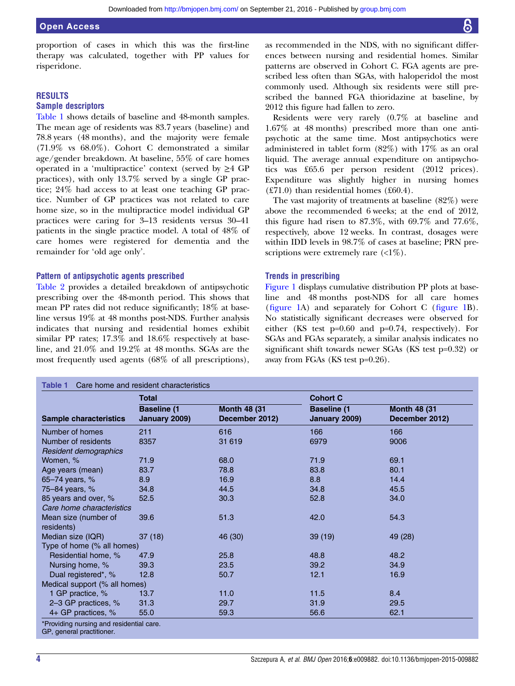proportion of cases in which this was the first-line therapy was calculated, together with PP values for risperidone.

#### RESULTS

#### Sample descriptors

Table 1 shows details of baseline and 48-month samples. The mean age of residents was 83.7 years (baseline) and 78.8 years (48 months), and the majority were female (71.9% vs 68.0%). Cohort C demonstrated a similar age/gender breakdown. At baseline, 55% of care homes operated in a 'multipractice' context (served by  $\geq$ 4 GP practices), with only 13.7% served by a single GP practice; 24% had access to at least one teaching GP practice. Number of GP practices was not related to care home size, so in the multipractice model individual GP practices were caring for 3–13 residents versus 30–41 patients in the single practice model. A total of 48% of care homes were registered for dementia and the remainder for 'old age only'.

#### Pattern of antipsychotic agents prescribed

[Table 2](#page-4-0) provides a detailed breakdown of antipsychotic prescribing over the 48-month period. This shows that mean PP rates did not reduce significantly; 18% at baseline versus 19% at 48 months post-NDS. Further analysis indicates that nursing and residential homes exhibit similar PP rates; 17.3% and 18.6% respectively at baseline, and 21.0% and 19.2% at 48 months. SGAs are the most frequently used agents (68% of all prescriptions), as recommended in the NDS, with no significant differences between nursing and residential homes. Similar patterns are observed in Cohort C. FGA agents are prescribed less often than SGAs, with haloperidol the most commonly used. Although six residents were still prescribed the banned FGA thioridazine at baseline, by 2012 this figure had fallen to zero.

Residents were very rarely (0.7% at baseline and 1.67% at 48 months) prescribed more than one antipsychotic at the same time. Most antipsychotics were administered in tablet form (82%) with 17% as an oral liquid. The average annual expenditure on antipsychotics was £65.6 per person resident (2012 prices). Expenditure was slightly higher in nursing homes  $(E71.0)$  than residential homes  $(E60.4)$ .

The vast majority of treatments at baseline (82%) were above the recommended 6 weeks; at the end of 2012, this figure had risen to  $87.3\%$ , with  $69.7\%$  and  $77.6\%$ . respectively, above 12 weeks. In contrast, dosages were within IDD levels in 98.7% of cases at baseline; PRN prescriptions were extremely rare  $\left(\langle 1\% \right)$ .

#### Trends in prescribing

[Figure 1](#page-4-0) displays cumulative distribution PP plots at baseline and 48 months post-NDS for all care homes (fi[gure 1A](#page-4-0)) and separately for Cohort C (fi[gure 1](#page-4-0)B). No statistically significant decreases were observed for either (KS test p=0.60 and p=0.74, respectively). For SGAs and FGAs separately, a similar analysis indicates no significant shift towards newer SGAs (KS test p=0.32) or away from FGAs (KS test p=0.26).

|                               | <b>Total</b>                        |                                       | <b>Cohort C</b>                     |                                        |
|-------------------------------|-------------------------------------|---------------------------------------|-------------------------------------|----------------------------------------|
| <b>Sample characteristics</b> | <b>Baseline (1</b><br>January 2009) | <b>Month 48 (31</b><br>December 2012) | <b>Baseline (1</b><br>January 2009) | <b>Month 48 (31)</b><br>December 2012) |
| Number of homes               | 211                                 | 616                                   | 166                                 | 166                                    |
| Number of residents           | 8357                                | 31 619                                | 6979                                | 9006                                   |
| Resident demographics         |                                     |                                       |                                     |                                        |
| Women, %                      | 71.9                                | 68.0                                  | 71.9                                | 69.1                                   |
| Age years (mean)              | 83.7                                | 78.8                                  | 83.8                                | 80.1                                   |
| 65-74 years, %                | 8.9                                 | 16.9                                  | 8.8                                 | 14.4                                   |
| 75-84 years, %                | 34.8                                | 44.5                                  | 34.8                                | 45.5                                   |
| 85 years and over, %          | 52.5                                | 30.3                                  | 52.8                                | 34.0                                   |
| Care home characteristics     |                                     |                                       |                                     |                                        |
| Mean size (number of          | 39.6                                | 51.3                                  | 42.0                                | 54.3                                   |
| residents)                    |                                     |                                       |                                     |                                        |
| Median size (IQR)             | 37(18)                              | 46 (30)                               | 39(19)                              | 49 (28)                                |
| Type of home (% all homes)    |                                     |                                       |                                     |                                        |
| Residential home, %           | 47.9                                | 25.8                                  | 48.8                                | 48.2                                   |
| Nursing home, %               | 39.3                                | 23.5                                  | 39.2                                | 34.9                                   |
| Dual registered*, %           | 12.8                                | 50.7                                  | 12.1                                | 16.9                                   |
| Medical support (% all homes) |                                     |                                       |                                     |                                        |
| 1 GP practice, %              | 13.7                                | 11.0                                  | 11.5                                | 8.4                                    |
| 2-3 GP practices, %           | 31.3                                | 29.7                                  | 31.9                                | 29.5                                   |
| 4+ GP practices, %            | 55.0                                | 59.3                                  | 56.6                                | 62.1                                   |

GP, general practitioner.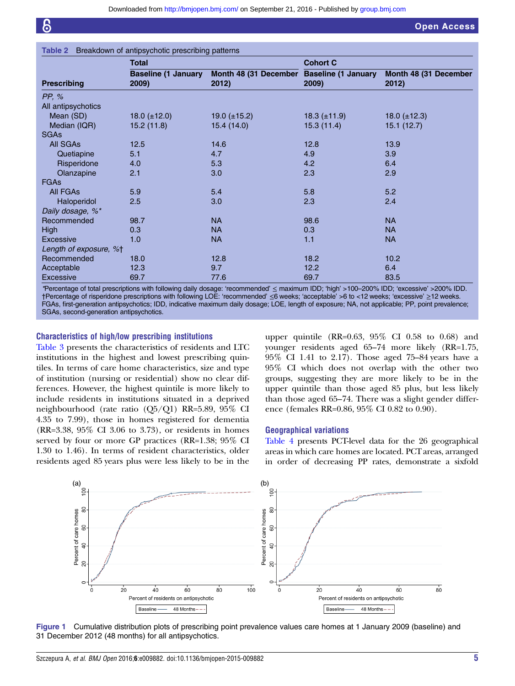<span id="page-4-0"></span>

| Breakdown of antipsychotic prescribing patterns<br>Table 2 |                                     |                                |                                     |                                |  |
|------------------------------------------------------------|-------------------------------------|--------------------------------|-------------------------------------|--------------------------------|--|
|                                                            | <b>Total</b>                        |                                | <b>Cohort C</b>                     |                                |  |
| <b>Prescribing</b>                                         | <b>Baseline (1 January</b><br>2009) | Month 48 (31 December<br>2012) | <b>Baseline (1 January</b><br>2009) | Month 48 (31 December<br>2012) |  |
| PP, %                                                      |                                     |                                |                                     |                                |  |
| All antipsychotics                                         |                                     |                                |                                     |                                |  |
| Mean (SD)                                                  | 18.0 $(\pm 12.0)$                   | 19.0 $(\pm 15.2)$              | 18.3 $(\pm 11.9)$                   | 18.0 $(\pm 12.3)$              |  |
| Median (IQR)                                               | 15.2 (11.8)                         | 15.4 (14.0)                    | 15.3 (11.4)                         | 15.1(12.7)                     |  |
| <b>SGAs</b>                                                |                                     |                                |                                     |                                |  |
| <b>All SGAs</b>                                            | 12.5                                | 14.6                           | 12.8                                | 13.9                           |  |
| Quetiapine                                                 | 5.1                                 | 4.7                            | 4.9                                 | 3.9                            |  |
| Risperidone                                                | 4.0                                 | 5.3                            | 4.2                                 | 6.4                            |  |
| Olanzapine                                                 | 2.1                                 | 3.0                            | 2.3                                 | 2.9                            |  |
| <b>FGAs</b>                                                |                                     |                                |                                     |                                |  |
| All FGAs                                                   | 5.9                                 | 5.4                            | 5.8                                 | 5.2                            |  |
| Haloperidol                                                | 2.5                                 | 3.0                            | 2.3                                 | 2.4                            |  |
| Daily dosage, %*                                           |                                     |                                |                                     |                                |  |
| Recommended                                                | 98.7                                | <b>NA</b>                      | 98.6                                | <b>NA</b>                      |  |
| <b>High</b>                                                | 0.3                                 | <b>NA</b>                      | 0.3                                 | <b>NA</b>                      |  |
| Excessive                                                  | 1.0                                 | <b>NA</b>                      | 1.1                                 | <b>NA</b>                      |  |
| Length of exposure, %+                                     |                                     |                                |                                     |                                |  |
| Recommended                                                | 18.0                                | 12.8                           | 18.2                                | 10.2                           |  |
| Acceptable                                                 | 12.3                                | 9.7                            | 12.2                                | 6.4                            |  |
| Excessive                                                  | 69.7                                | 77.6                           | 69.7                                | 83.5                           |  |

\*Percentage of total prescriptions with following daily dosage: 'recommended' ≤ maximum IDD; 'high' >100–200% IDD; 'excessive' >200% IDD. †Percentage of risperidone prescriptions with following LOE: 'recommended' ≤6 weeks; 'acceptable' >6 to <12 weeks; 'excessive' ≥12 weeks. FGAs, first-generation antipsychotics; IDD, indicative maximum daily dosage; LOE, length of exposure; NA, not applicable; PP, point prevalence; SGAs, second-generation antipsychotics.

#### Characteristics of high/low prescribing institutions

[Table 3](#page-5-0) presents the characteristics of residents and LTC institutions in the highest and lowest prescribing quintiles. In terms of care home characteristics, size and type of institution (nursing or residential) show no clear differences. However, the highest quintile is more likely to include residents in institutions situated in a deprived neighbourhood (rate ratio (Q5/Q1) RR=5.89, 95% CI 4.35 to 7.99), those in homes registered for dementia (RR=3.38, 95% CI 3.06 to 3.73), or residents in homes served by four or more GP practices (RR=1.38; 95% CI 1.30 to 1.46). In terms of resident characteristics, older residents aged 85 years plus were less likely to be in the

upper quintile (RR=0.63, 95% CI 0.58 to 0.68) and younger residents aged 65–74 more likely (RR=1.75, 95% CI 1.41 to 2.17). Those aged 75–84 years have a 95% CI which does not overlap with the other two groups, suggesting they are more likely to be in the upper quintile than those aged 85 plus, but less likely than those aged 65–74. There was a slight gender difference (females RR=0.86, 95% CI 0.82 to 0.90).

#### Geographical variations

[Table 4](#page-6-0) presents PCT-level data for the 26 geographical areas in which care homes are located. PCT areas, arranged in order of decreasing PP rates, demonstrate a sixfold



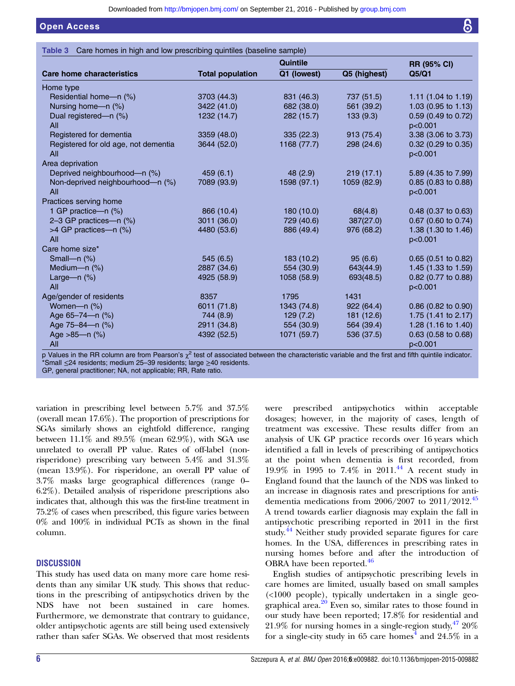## <span id="page-5-0"></span>Open Access

Table 3 Care homes in high and low prescribing quintiles (baseline sample)

|                                             |                         | <b>Quintile</b> |              | <b>RR (95% CI)</b>               |
|---------------------------------------------|-------------------------|-----------------|--------------|----------------------------------|
| Care home characteristics                   | <b>Total population</b> | Q1 (lowest)     | Q5 (highest) | Q5/Q1                            |
| Home type                                   |                         |                 |              |                                  |
| Residential home-n (%)                      | 3703 (44.3)             | 831 (46.3)      | 737 (51.5)   | 1.11 $(1.04 \text{ to } 1.19)$   |
| Nursing home-n (%)                          | 3422 (41.0)             | 682 (38.0)      | 561 (39.2)   | 1.03 $(0.95 \text{ to } 1.13)$   |
| Dual registered-n (%)<br>All                | 1232 (14.7)             | 282 (15.7)      | 133(9.3)     | $0.59$ (0.49 to 0.72)<br>p<0.001 |
| Registered for dementia                     | 3359 (48.0)             | 335(22.3)       | 913 (75.4)   | 3.38 (3.06 to 3.73)              |
| Registered for old age, not dementia<br>All | 3644 (52.0)             | 1168 (77.7)     | 298 (24.6)   | $0.32$ (0.29 to 0.35)<br>p<0.001 |
| Area deprivation                            |                         |                 |              |                                  |
| Deprived neighbourhood-n (%)                | 459(6.1)                | 48(2.9)         | 219(17.1)    | 5.89 (4.35 to 7.99)              |
| Non-deprived neighbourhood-n (%)<br>All     | 7089 (93.9)             | 1598 (97.1)     | 1059 (82.9)  | $0.85$ (0.83 to 0.88)<br>p<0.001 |
| Practices serving home                      |                         |                 |              |                                  |
| 1 GP practice-n (%)                         | 866 (10.4)              | 180 (10.0)      | 68(4.8)      | $0.48$ (0.37 to 0.63)            |
| 2-3 GP practices-n (%)                      | 3011 (36.0)             | 729 (40.6)      | 387(27.0)    | $0.67$ (0.60 to 0.74)            |
| >4 GP practices-n (%)                       | 4480 (53.6)             | 886 (49.4)      | 976 (68.2)   | 1.38 $(1.30 \text{ to } 1.46)$   |
| All                                         |                         |                 |              | p<0.001                          |
| Care home size*                             |                         |                 |              |                                  |
| Small-n $(\%)$                              | 545(6.5)                | 183 (10.2)      | 95(6.6)      | $0.65$ (0.51 to 0.82)            |
| Medium- $n$ $(\%)$                          | 2887 (34.6)             | 554 (30.9)      | 643(44.9)    | 1.45 $(1.33 \text{ to } 1.59)$   |
| Large-n (%)<br>All                          | 4925 (58.9)             | 1058 (58.9)     | 693(48.5)    | 0.82 (0.77 to 0.88)<br>p<0.001   |
| Age/gender of residents                     | 8357                    | 1795            | 1431         |                                  |
| Women-n (%)                                 | 6011 (71.8)             | 1343 (74.8)     | 922(64.4)    | 0.86 (0.82 to 0.90)              |
| Age 65-74-n (%)                             | 744 (8.9)               | 129(7.2)        | 181 (12.6)   | 1.75 $(1.41 \text{ to } 2.17)$   |
| Age 75-84-n (%)                             | 2911 (34.8)             | 554 (30.9)      | 564 (39.4)   | 1.28 $(1.16 \text{ to } 1.40)$   |
| Age >85-n (%)<br>All                        | 4392 (52.5)             | 1071 (59.7)     | 536 (37.5)   | $0.63$ (0.58 to 0.68)<br>p<0.001 |

p Values in the RR column are from Pearson's  $\chi^2$  test of associated between the characteristic variable and the first and fifth quintile indicator. \*Small ≤24 residents; medium 25–39 residents; large ≥40 residents.

GP, general practitioner; NA, not applicable; RR, Rate ratio.

variation in prescribing level between 5.7% and 37.5% (overall mean 17.6%). The proportion of prescriptions for SGAs similarly shows an eightfold difference, ranging between 11.1% and 89.5% (mean 62.9%), with SGA use unrelated to overall PP value. Rates of off-label (nonrisperidone) prescribing vary between 5.4% and 31.3% (mean 13.9%). For risperidone, an overall PP value of 3.7% masks large geographical differences (range 0– 6.2%). Detailed analysis of risperidone prescriptions also indicates that, although this was the first-line treatment in 75.2% of cases when prescribed, this figure varies between 0% and 100% in individual PCTs as shown in the final column.

## **DISCUSSION**

This study has used data on many more care home residents than any similar UK study. This shows that reductions in the prescribing of antipsychotics driven by the NDS have not been sustained in care homes. Furthermore, we demonstrate that contrary to guidance, older antipsychotic agents are still being used extensively rather than safer SGAs. We observed that most residents

were prescribed antipsychotics within acceptable dosages; however, in the majority of cases, length of treatment was excessive. These results differ from an analysis of UK GP practice records over 16 years which identified a fall in levels of prescribing of antipsychotics at the point when dementia is first recorded, from 19.9% in 1995 to 7.4% in 2011[.44](#page-9-0) A recent study in England found that the launch of the NDS was linked to an increase in diagnosis rates and prescriptions for antidementia medications from  $2006/2007$  to  $2011/2012$ .<sup>[45](#page-9-0)</sup> A trend towards earlier diagnosis may explain the fall in antipsychotic prescribing reported in 2011 in the first study.<sup>[44](#page-9-0)</sup> Neither study provided separate figures for care homes. In the USA, differences in prescribing rates in nursing homes before and after the introduction of OBRA have been reported.<sup>[46](#page-9-0)</sup>

English studies of antipsychotic prescribing levels in care homes are limited, usually based on small samples (<1000 people), typically undertaken in a single geographical area. $20$  Even so, similar rates to those found in our study have been reported; 17.8% for residential and 21.9% for nursing homes in a single-region study,  $4720\%$ for a single-city study in 65 care homes<sup>[4](#page-8-0)</sup> and 24.5% in a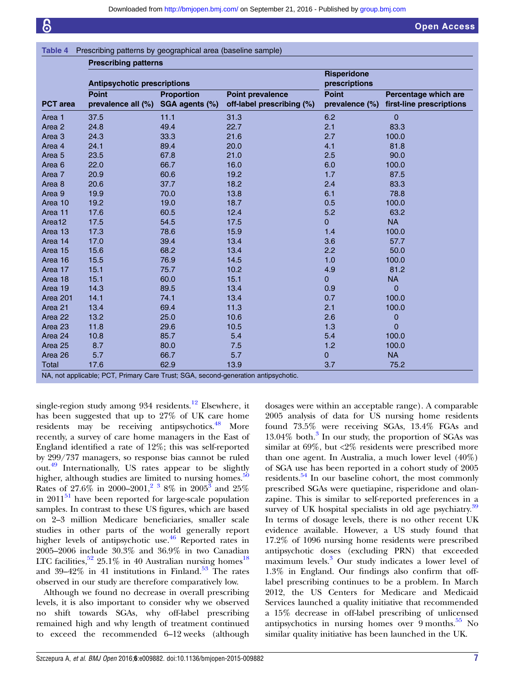<span id="page-6-0"></span>

| Prescribing patterns by geographical area (baseline sample) | Table 4 |  |  |  |
|-------------------------------------------------------------|---------|--|--|--|
|-------------------------------------------------------------|---------|--|--|--|

| <b>Prescribing patterns</b>        |                                     |                                                      |                                     |                                                  |  |
|------------------------------------|-------------------------------------|------------------------------------------------------|-------------------------------------|--------------------------------------------------|--|
| <b>Antipsychotic prescriptions</b> |                                     |                                                      | <b>Risperidone</b><br>prescriptions |                                                  |  |
| <b>Point</b>                       | <b>Proportion</b><br>SGA agents (%) | <b>Point prevalence</b><br>off-label prescribing (%) | <b>Point</b><br>prevalence (%)      | Percentage which are<br>first-line prescriptions |  |
| 37.5                               | 11.1                                | 31.3                                                 | 6.2                                 | 0                                                |  |
| 24.8                               | 49.4                                | 22.7                                                 | 2.1                                 | 83.3                                             |  |
| 24.3                               | 33.3                                | 21.6                                                 | 2.7                                 | 100.0                                            |  |
| 24.1                               | 89.4                                | 20.0                                                 | 4.1                                 | 81.8                                             |  |
| 23.5                               | 67.8                                | 21.0                                                 | 2.5                                 | 90.0                                             |  |
| 22.0                               | 66.7                                | 16.0                                                 | 6.0                                 | 100.0                                            |  |
| 20.9                               | 60.6                                | 19.2                                                 | 1.7                                 | 87.5                                             |  |
| 20.6                               | 37.7                                | 18.2                                                 | 2.4                                 | 83.3                                             |  |
| 19.9                               | 70.0                                | 13.8                                                 | 6.1                                 | 78.8                                             |  |
| 19.2                               | 19.0                                | 18.7                                                 | 0.5                                 | 100.0                                            |  |
| 17.6                               | 60.5                                | 12.4                                                 | 5.2                                 | 63.2                                             |  |
| 17.5                               | 54.5                                | 17.5                                                 | $\overline{0}$                      | <b>NA</b>                                        |  |
| 17.3                               | 78.6                                | 15.9                                                 | 1.4                                 | 100.0                                            |  |
| 17.0                               | 39.4                                | 13.4                                                 | 3.6                                 | 57.7                                             |  |
| 15.6                               | 68.2                                | 13.4                                                 | 2.2                                 | 50.0                                             |  |
| 15.5                               | 76.9                                | 14.5                                                 | 1.0                                 | 100.0                                            |  |
| 15.1                               | 75.7                                | 10.2                                                 | 4.9                                 | 81.2                                             |  |
| 15.1                               | 60.0                                | 15.1                                                 | $\overline{0}$                      | <b>NA</b>                                        |  |
| 14.3                               | 89.5                                | 13.4                                                 | 0.9                                 | $\overline{0}$                                   |  |
| 14.1                               | 74.1                                | 13.4                                                 | 0.7                                 | 100.0                                            |  |
| 13.4                               | 69.4                                | 11.3                                                 | 2.1                                 | 100.0                                            |  |
| 13.2                               | 25.0                                | 10.6                                                 | 2.6                                 | 0                                                |  |
| 11.8                               | 29.6                                | 10.5                                                 | 1.3                                 | $\mathbf 0$                                      |  |
| 10.8                               | 85.7                                | 5.4                                                  | 5.4                                 | 100.0                                            |  |
| 8.7                                | 80.0                                | 7.5                                                  | 1.2                                 | 100.0                                            |  |
| 5.7                                | 66.7                                | 5.7                                                  | 0                                   | <b>NA</b>                                        |  |
| 17.6                               | 62.9                                | 13.9                                                 | 3.7                                 | 75.2                                             |  |
|                                    |                                     | prevalence all (%)                                   |                                     |                                                  |  |

single-region study among 934 residents.<sup>[12](#page-8-0)</sup> Elsewhere, it has been suggested that up to 27% of UK care home residents may be receiving antipsychotics.<sup>[48](#page-9-0)</sup> More recently, a survey of care home managers in the East of England identified a rate of 12%; this was self-reported by 299/737 managers, so response bias cannot be ruled out.[49](#page-9-0) Internationally, US rates appear to be slightly higher, although studies are limited to nursing homes. $50$ Rates of  $27.6\%$  in 2000–2001,<sup>[2 3](#page-8-0)</sup> 8% in 2005<sup>[3](#page-8-0)</sup> and 25% in  $2011<sup>51</sup>$  $2011<sup>51</sup>$  $2011<sup>51</sup>$  have been reported for large-scale population samples. In contrast to these US figures, which are based on 2–3 million Medicare beneficiaries, smaller scale studies in other parts of the world generally report higher levels of antipsychotic use. $46$  Reported rates in 2005–2006 include 30.3% and 36.9% in two Canadian LTC facilities,  $52$  25.1% in 40 Australian nursing homes<sup>[18](#page-8-0)</sup> and  $39-42\%$  in 41 institutions in Finland.<sup>[53](#page-9-0)</sup> The rates observed in our study are therefore comparatively low.

Although we found no decrease in overall prescribing levels, it is also important to consider why we observed no shift towards SGAs, why off-label prescribing remained high and why length of treatment continued to exceed the recommended 6–12 weeks (although

dosages were within an acceptable range). A comparable 2005 analysis of data for US nursing home residents found 73.5% were receiving SGAs, 13.4% FGAs and  $13.04\%$  $13.04\%$  $13.04\%$  both.<sup>3</sup> In our study, the proportion of SGAs was similar at 69%, but <2% residents were prescribed more than one agent. In Australia, a much lower level (40%) of SGA use has been reported in a cohort study of 2005 residents.<sup>[54](#page-9-0)</sup> In our baseline cohort, the most commonly prescribed SGAs were quetiapine, risperidone and olanzapine. This is similar to self-reported preferences in a survey of UK hospital specialists in old age psychiatry.<sup>[39](#page-9-0)</sup> In terms of dosage levels, there is no other recent UK evidence available. However, a US study found that 17.2% of 1096 nursing home residents were prescribed antipsychotic doses (excluding PRN) that exceeded maximum levels.<sup>3</sup> Our study indicates a lower level of 1.3% in England. Our findings also confirm that offlabel prescribing continues to be a problem. In March 2012, the US Centers for Medicare and Medicaid Services launched a quality initiative that recommended a 15% decrease in off-label prescribing of unlicensed antipsychotics in nursing homes over  $9$  months.<sup>[55](#page-9-0)</sup> No similar quality initiative has been launched in the UK.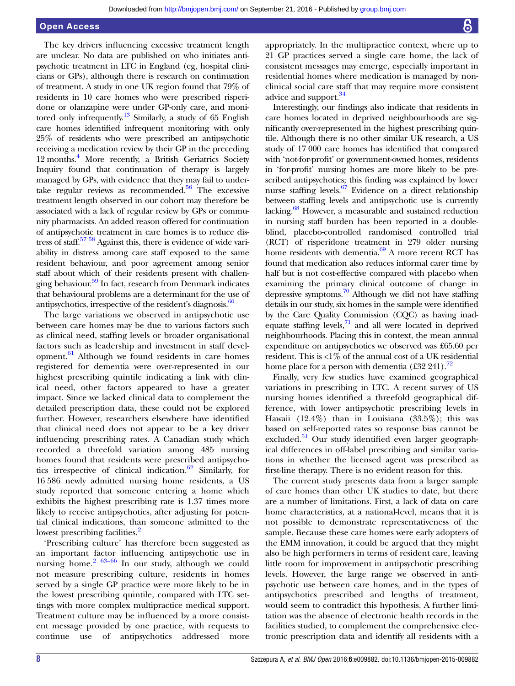#### Open Access

The key drivers influencing excessive treatment length are unclear. No data are published on who initiates antipsychotic treatment in LTC in England (eg, hospital clinicians or GPs), although there is research on continuation of treatment. A study in one UK region found that 79% of residents in 10 care homes who were prescribed risperidone or olanzapine were under GP-only care, and monitored only infrequently.<sup>13</sup> Similarly, a study of 65 English care homes identified infrequent monitoring with only 25% of residents who were prescribed an antipsychotic receiving a medication review by their GP in the preceding 12 months[.4](#page-8-0) More recently, a British Geriatrics Society Inquiry found that continuation of therapy is largely managed by GPs, with evidence that they may fail to undertake regular reviews as recommended. $56$  The excessive treatment length observed in our cohort may therefore be associated with a lack of regular review by GPs or community pharmacists. An added reason offered for continuation of antipsychotic treatment in care homes is to reduce distress of staff.<sup>57</sup> <sup>58</sup> Against this, there is evidence of wide variability in distress among care staff exposed to the same resident behaviour, and poor agreement among senior staff about which of their residents present with challenging behaviour[.59](#page-9-0) In fact, research from Denmark indicates that behavioural problems are a determinant for the use of antipsychotics, irrespective of the resident's diagnosis. $\frac{60}{2}$  $\frac{60}{2}$  $\frac{60}{2}$ 

The large variations we observed in antipsychotic use between care homes may be due to various factors such as clinical need, staffing levels or broader organisational factors such as leadership and investment in staff devel-opment.<sup>[61](#page-9-0)</sup> Although we found residents in care homes registered for dementia were over-represented in our highest prescribing quintile indicating a link with clinical need, other factors appeared to have a greater impact. Since we lacked clinical data to complement the detailed prescription data, these could not be explored further. However, researchers elsewhere have identified that clinical need does not appear to be a key driver influencing prescribing rates. A Canadian study which recorded a threefold variation among 485 nursing homes found that residents were prescribed antipsycho-tics irrespective of clinical indication.<sup>[62](#page-9-0)</sup> Similarly, for 16 586 newly admitted nursing home residents, a US study reported that someone entering a home which exhibits the highest prescribing rate is 1.37 times more likely to receive antipsychotics, after adjusting for potential clinical indications, than someone admitted to the lowest prescribing facilities.<sup>[2](#page-8-0)</sup>

'Prescribing culture' has therefore been suggested as an important factor influencing antipsychotic use in nursing home.<sup>[2](#page-8-0) [63](#page-9-0)–66</sup> In our study, although we could not measure prescribing culture, residents in homes served by a single GP practice were more likely to be in the lowest prescribing quintile, compared with LTC settings with more complex multipractice medical support. Treatment culture may be influenced by a more consistent message provided by one practice, with requests to continue use of antipsychotics addressed more

appropriately. In the multipractice context, where up to 21 GP practices served a single care home, the lack of consistent messages may emerge, especially important in residential homes where medication is managed by nonclinical social care staff that may require more consistent advice and support.<sup>34</sup>

Interestingly, our findings also indicate that residents in care homes located in deprived neighbourhoods are significantly over-represented in the highest prescribing quintile. Although there is no other similar UK research, a US study of 17 000 care homes has identified that compared with 'not-for-profit' or government-owned homes, residents in 'for-profit' nursing homes are more likely to be prescribed antipsychotics; this finding was explained by lower nurse staffing levels.<sup>67</sup> Evidence on a direct relationship between staffing levels and antipsychotic use is currently lacking.<sup>68</sup> However, a measurable and sustained reduction in nursing staff burden has been reported in a doubleblind, placebo-controlled randomised controlled trial (RCT) of risperidone treatment in 279 older nursing home residents with dementia. $69$  A more recent RCT has found that medication also reduces informal carer time by half but is not cost-effective compared with placebo when examining the primary clinical outcome of change in depressive symptoms.<sup>[70](#page-9-0)</sup> Although we did not have staffing details in our study, six homes in the sample were identified by the Care Quality Commission (CQC) as having inadequate staffing levels, $71$  and all were located in deprived neighbourhoods. Placing this in context, the mean annual expenditure on antipsychotics we observed was £65.60 per resident. This is  $\langle 1\% \rangle$  of the annual cost of a UK residential home place for a person with dementia  $(\text{\pounds}32 \text{ 241})$ .<sup>72</sup>

Finally, very few studies have examined geographical variations in prescribing in LTC. A recent survey of US nursing homes identified a threefold geographical difference, with lower antipsychotic prescribing levels in Hawaii (12.4%) than in Louisiana (33.5%); this was based on self-reported rates so response bias cannot be excluded. $51$  Our study identified even larger geographical differences in off-label prescribing and similar variations in whether the licensed agent was prescribed as first-line therapy. There is no evident reason for this.

The current study presents data from a larger sample of care homes than other UK studies to date, but there are a number of limitations. First, a lack of data on care home characteristics, at a national-level, means that it is not possible to demonstrate representativeness of the sample. Because these care homes were early adopters of the EMM innovation, it could be argued that they might also be high performers in terms of resident care, leaving little room for improvement in antipsychotic prescribing levels. However, the large range we observed in antipsychotic use between care homes, and in the types of antipsychotics prescribed and lengths of treatment, would seem to contradict this hypothesis. A further limitation was the absence of electronic health records in the facilities studied, to complement the comprehensive electronic prescription data and identify all residents with a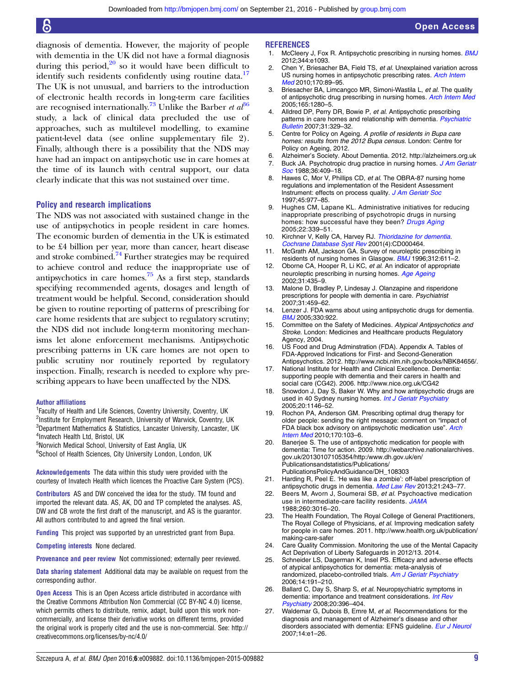<span id="page-8-0"></span>diagnosis of dementia. However, the majority of people with dementia in the UK did not have a formal diagnosis during this period, $20$  so it would have been difficult to identify such residents confidently using routine data.<sup>17</sup> The UK is not unusual, and barriers to the introduction of electronic health records in long-term care facilities are recognised internationally.<sup>[73](#page-9-0)</sup> Unlike the Barber et  $a^{36}$  $a^{36}$  $a^{36}$ study, a lack of clinical data precluded the use of approaches, such as multilevel modelling, to examine patient-level data (see online supplementary file 2). Finally, although there is a possibility that the NDS may have had an impact on antipsychotic use in care homes at the time of its launch with central support, our data clearly indicate that this was not sustained over time.

#### Policy and research implications

The NDS was not associated with sustained change in the use of antipsychotics in people resident in care homes. The economic burden of dementia in the UK is estimated to be £4 billion per year, more than cancer, heart disease and stroke combined. $74$  Further strategies may be required to achieve control and reduce the inappropriate use of antipsychotics in care homes.<sup>[75](#page-9-0)</sup> As a first step, standards specifying recommended agents, dosages and length of treatment would be helpful. Second, consideration should be given to routine reporting of patterns of prescribing for care home residents that are subject to regulatory scrutiny; the NDS did not include long-term monitoring mechanisms let alone enforcement mechanisms. Antipsychotic prescribing patterns in UK care homes are not open to public scrutiny nor routinely reported by regulatory inspection. Finally, research is needed to explore why prescribing appears to have been unaffected by the NDS.

#### Author affiliations

<sup>1</sup> Faculty of Health and Life Sciences, Coventry University, Coventry, UK

<sup>2</sup>Institute for Employment Research, University of Warwick, Coventry, UK <sup>3</sup>Department Mathematics & Statistics, Lancaster University, Lancaster, UK 4 Invatech Health Ltd, Bristol, UK

<sup>5</sup>Norwich Medical School, University of East Anglia, UK

<sup>6</sup>School of Health Sciences, City University London, London, UK

Acknowledgements The data within this study were provided with the courtesy of Invatech Health which licences the Proactive Care System (PCS).

Contributors AS and DW conceived the idea for the study. TM found and imported the relevant data. AS, AK, DO and TP completed the analyses. AS, DW and CB wrote the first draft of the manuscript, and AS is the guarantor. All authors contributed to and agreed the final version.

Funding This project was supported by an unrestricted grant from Bupa.

Competing interests None declared.

Provenance and peer review Not commissioned; externally peer reviewed.

Data sharing statement Additional data may be available on request from the corresponding author.

Open Access This is an Open Access article distributed in accordance with the Creative Commons Attribution Non Commercial (CC BY-NC 4.0) license, which permits others to distribute, remix, adapt, build upon this work noncommercially, and license their derivative works on different terms, provided the original work is properly cited and the use is non-commercial. See: [http://](http://creativecommons.org/licenses/by-nc/4.0/) [creativecommons.org/licenses/by-nc/4.0/](http://creativecommons.org/licenses/by-nc/4.0/)

#### **REFERENCES**

1. McCleery J. Fox R. Antipsychotic prescribing in nursing homes. **[BMJ](http://dx.doi.org/10.1136/bmj.e1093)** 2012;344:e1093.

Open Access

- 2. Chen Y, Briesacher BA, Field TS, et al. Unexplained variation across US nursing homes in antipsychotic prescribing rates. [Arch Intern](http://dx.doi.org/10.1001/archinternmed.2009.469) [Med](http://dx.doi.org/10.1001/archinternmed.2009.469) 2010;170:89-95.
- 3. Briesacher BA, Limcangco MR, Simoni-Wastila L, et al. The quality of antipsychotic drug prescribing in nursing homes. [Arch Intern Med](http://dx.doi.org/10.1001/archinte.165.11.1280) 2005;165:1280–5.
- 4. Alldred DP, Perry DR, Bowie P, et al. Antipsychotic prescribing patterns in care homes and relationship with dementia. [Psychiatric](http://dx.doi.org/10.1192/pb.bp.106.012880) [Bulletin](http://dx.doi.org/10.1192/pb.bp.106.012880) 2007;31:329–32.
- 5. Centre for Policy on Ageing. A profile of residents in Bupa care homes: results from the 2012 Bupa census. London: Centre for Policy on Ageing, 2012.
- 6. Alzheimer's Society. About Dementia. 2012.<http://alzheimers.org.uk> 7. Buck JA. Psychotropic drug practice in nursing homes. [J Am Geriatr](http://dx.doi.org/10.1111/j.1532-5415.1988.tb02379.x) [Soc](http://dx.doi.org/10.1111/j.1532-5415.1988.tb02379.x) 1988;36:409–18.
- 8. Hawes C, Mor V, Phillips CD, et al. The OBRA-87 nursing home regulations and implementation of the Resident Assessment Instrument: effects on process quality. [J Am Geriatr Soc](http://dx.doi.org/10.1111/j.1532-5415.1997.tb02970.x) 1997;45:977–85.
- 9. Hughes CM, Lapane KL. Administrative initiatives for reducing inappropriate prescribing of psychotropic drugs in nursing homes: how successful have they been? [Drugs Aging](http://dx.doi.org/10.2165/00002512-200522040-00006) 2005;22:339–51.
- 10. Kirchner V, Kelly CA, Harvey RJ. [Thioridazine for dementia](http://dx.doi.org/10.1002/14651858.CD000464). [Cochrane Database Syst Rev](http://dx.doi.org/10.1002/14651858.CD000464) 2001(4):CD000464.
- 11. McGrath AM, Jackson GA. Survey of neuroleptic prescribing in residents of nursing homes in Glasgow. **[BMJ](http://dx.doi.org/10.1136/bmj.312.7031.611) 1996**;312:611-2.
- 12. Oborne CA, Hooper R, Li KC, et al. An indicator of appropriate neuroleptic prescribing in nursing homes. [Age Ageing](http://dx.doi.org/10.1093/ageing/31.6.435) 2002;31:435–9.
- 13. Malone D, Bradley P, Lindesay J. Olanzapine and risperidone prescriptions for people with dementia in care. Psychiatrist 2007;31:459–62.
- 14. Lenzer J. FDA warns about using antipsychotic drugs for dementia. [BMJ](http://dx.doi.org/10.1136/bmj.330.7497.922-c) 2005;330:922.
- 15. Committee on the Safety of Medicines. Atypical Antipsychotics and Stroke. London: Medicines and Healthcare products Regulatory Agency, 2004.
- 16. US Food and Drug Adminstration (FDA). Appendix A. Tables of FDA-Approved Indications for First- and Second-Generation Antipsychotics. 2012.<http://www.ncbi.nlm.nih.gov/books/NBK84656/>.
- 17. National Institute for Health and Clinical Excellence. Dementia: supporting people with dementia and their carers in health and social care (CG42). 2006.<http://www.nice.org.uk/CG42>
- Snowdon J, Day S, Baker W. Why and how antipsychotic drugs are used in 40 Sydney nursing homes. [Int J Geriatr Psychiatry](http://dx.doi.org/10.1002/gps.1407) 2005;20:1146–52.
- 19. Rochon PA, Anderson GM. Prescribing optimal drug therapy for older people: sending the right message: comment on "impact of FDA black box advisory on antipsychotic medication use". [Arch](http://dx.doi.org/10.1001/archinternmed.2009.473) [Intern Med](http://dx.doi.org/10.1001/archinternmed.2009.473) 2010;170:103–6.
- 20. Banerjee S. The use of antipsychotic medication for people with dementia: Time for action. 2009. [http://webarchive.nationalarchives.](http://webarchive.nationalarchives.gov.uk/20130107105354/http:/www.dh.gov.uk/en/Publicationsandstatistics/Publications/PublicationsPolicyAndGuidance/DH_108303) [gov.uk/20130107105354/http:/www.dh.gov.uk/en/](http://webarchive.nationalarchives.gov.uk/20130107105354/http:/www.dh.gov.uk/en/Publicationsandstatistics/Publications/PublicationsPolicyAndGuidance/DH_108303) [Publicationsandstatistics/Publications/](http://webarchive.nationalarchives.gov.uk/20130107105354/http:/www.dh.gov.uk/en/Publicationsandstatistics/Publications/PublicationsPolicyAndGuidance/DH_108303) [PublicationsPolicyAndGuidance/DH\\_108303](http://webarchive.nationalarchives.gov.uk/20130107105354/http:/www.dh.gov.uk/en/Publicationsandstatistics/Publications/PublicationsPolicyAndGuidance/DH_108303)
- 21. Harding R, Peel E. 'He was like a zombie': off-label prescription of antipsychotic drugs in dementia. [Med Law Rev](http://dx.doi.org/10.1093/medlaw/fws029) 2013;21:243-77.
- Beers M, Avorn J, Soumerai SB, et al. Psychoactive medication use in intermediate-care facility residents. [JAMA](http://dx.doi.org/10.1001/jama.1988.03410200072028) 1988;260:3016–20.
- 23. The Health Foundation, The Royal College of General Practitioners, The Royal College of Physicians, et al. Improving medication safety for people in care homes. 2011. [http://www.health.org.uk/publication/](http://www.health.org.uk/publication/making-care-safer) [making-care-safer](http://www.health.org.uk/publication/making-care-safer)
- 24. Care Quality Commission. Monitoring the use of the Mental Capacity Act Deprivation of Liberty Safeguards in 2012/13. 2014.
- 25. Schneider LS, Dagerman K, Insel PS. Efficacy and adverse effects of atypical antipsychotics for dementia: meta-analysis of randomized, placebo-controlled trials. [Am J Geriatr Psychiatry](http://dx.doi.org/10.1097/01.JGP.0000200589.01396.6d) 2006;14:191–210.
- 26. Ballard C, Day S, Sharp S, et al. Neuropsychiatric symptoms in dementia: importance and treatment considerations. [Int Rev](http://dx.doi.org/10.1080/09540260802099968) [Psychiatry](http://dx.doi.org/10.1080/09540260802099968) 2008;20:396–404.
- 27. Waldemar G, Dubois B, Emre M, et al. Recommendations for the diagnosis and management of Alzheimer's disease and other disorders associated with dementia: EFNS guideline. [Eur J Neurol](http://dx.doi.org/10.1111/j.1468-1331.2006.01605.x) 2007;14:e1–26.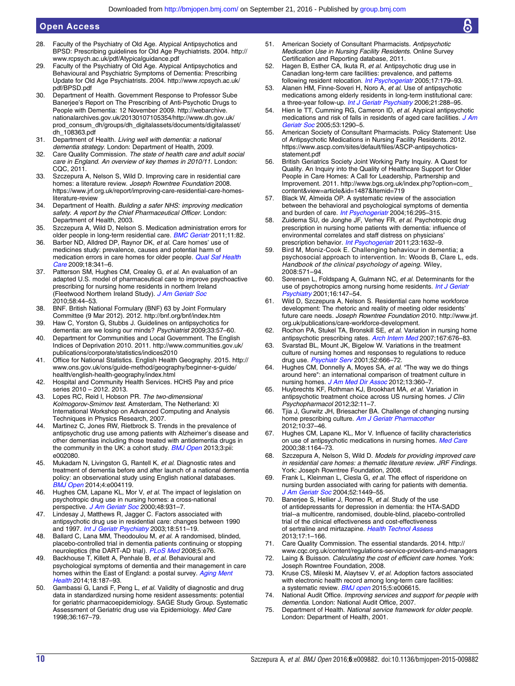- <span id="page-9-0"></span>28. Faculty of the Psychiatry of Old Age. Atypical Antipsychotics and BPSD: Prescribing guidelines for Old Age Psychiatrists. 2004. [http://](http://www.rcpsych.ac.uk/pdf/Atypicalguidance.pdf) [www.rcpsych.ac.uk/pdf/Atypicalguidance.pdf](http://www.rcpsych.ac.uk/pdf/Atypicalguidance.pdf)
- 29. Faculty of the Psychiatry of Old Age. Atypical Antipsychotics and Behavioural and Psychiatric Symptoms of Dementia: Prescribing Update for Old Age Psychiatrists. 2004. [http://www.rcpsych.ac.uk/](http://www.rcpsych.ac.uk/pdf/BPSD.pdf) [pdf/BPSD.pdf](http://www.rcpsych.ac.uk/pdf/BPSD.pdf)
- 30. Department of Health. Government Response to Professor Sube Banerjee's Report on The Prescribing of Anti-Psychotic Drugs to People with Dementia: 12 November 2009. [http://webarchive.](http://webarchive.nationalarchives.gov.uk/20130107105354/http://www.dh.gov.uk/prod_consum_dh/groups/dh_digitalassets/documents/digitalasset/dh_108363.pdf) [nationalarchives.gov.uk/20130107105354/http://www.dh.gov.uk/](http://webarchive.nationalarchives.gov.uk/20130107105354/http://www.dh.gov.uk/prod_consum_dh/groups/dh_digitalassets/documents/digitalasset/dh_108363.pdf) [prod\\_consum\\_dh/groups/dh\\_digitalassets/documents/digitalasset/](http://webarchive.nationalarchives.gov.uk/20130107105354/http://www.dh.gov.uk/prod_consum_dh/groups/dh_digitalassets/documents/digitalasset/dh_108363.pdf) [dh\\_108363.pdf](http://webarchive.nationalarchives.gov.uk/20130107105354/http://www.dh.gov.uk/prod_consum_dh/groups/dh_digitalassets/documents/digitalasset/dh_108363.pdf)
- 31. Department of Health. Living well with dementia: a national dementia strategy. London: Department of Health, 2009.
- 32. Care Quality Commission. The state of health care and adult social care in England. An overview of key themes in 2010/11. London: CQC, 2011.
- 33. Szczepura A, Nelson S, Wild D. Improving care in residential care homes: a literature review. Joseph Rowntree Foundation 2008. [https://www.jrf.org.uk/report/improving-care-residential-care-homes](https://www.jrf.org.uk/report/improving-care-residential-care-homes-literature-review)[literature-review](https://www.jrf.org.uk/report/improving-care-residential-care-homes-literature-review)
- 34. Department of Health. Building a safer NHS: improving medication safety. A report by the Chief Pharmaceutical Officer. London: Department of Health, 2003.
- 35. Szczepura A, Wild D, Nelson S. Medication administration errors for older people in long-term residential care. **[BMC Geriatr](http://dx.doi.org/10.1186/1471-2318-11-82)** 2011;11:82.
- 36. Barber ND, Alldred DP, Raynor DK, et al. Care homes' use of medicines study: prevalence, causes and potential harm of medication errors in care homes for older people. [Qual Saf Health](http://dx.doi.org/10.1136/qshc.2009.034231) [Care](http://dx.doi.org/10.1136/qshc.2009.034231) 2009;18:341–6.
- 37. Patterson SM, Hughes CM, Crealey G, et al. An evaluation of an adapted U.S. model of pharmaceutical care to improve psychoactive prescribing for nursing home residents in northern Ireland (Fleetwood Northern Ireland Study). [J Am Geriatr Soc](http://dx.doi.org/10.1111/j.1532-5415.2009.02617.x) 2010;58:44–53.
- 38. BNF. British National Formulary (BNF) 63 by Joint Formulary Committee (9 Mar 2012). 2012.<http://bnf.org/bnf/index.htm>
- 39. Haw C, Yorston G, Stubbs J. Guidelines on antipsychotics for dementia: are we losing our minds? Psychiatrist 2009;33:57–60.
- 40. Department for Communities and Local Government. The English Indices of Deprivation 2010. 2011. [http://www.communities.gov.uk/](http://www.communities.gov.uk/publications/corporate/statistics/indices2010) [publications/corporate/statistics/indices2010](http://www.communities.gov.uk/publications/corporate/statistics/indices2010)
- 41. Office for National Statistics. English Health Geography. 2015. [http://](http://www.ons.gov.uk/ons/guide-method/geography/beginner-s-guide/health/english-health-geography/index.html) [www.ons.gov.uk/ons/guide-method/geography/beginner-s-guide/](http://www.ons.gov.uk/ons/guide-method/geography/beginner-s-guide/health/english-health-geography/index.html) [health/english-health-geography/index.html](http://www.ons.gov.uk/ons/guide-method/geography/beginner-s-guide/health/english-health-geography/index.html)
- 42. Hospital and Community Health Services. HCHS Pay and price series 2010 – 2012. 2013.
- 43. Lopes RC, Reid I, Hobson PR. The two-dimensional Kolmogorov-Smirnov test. Amsterdam, The Netherland: XI International Workshop on Advanced Computing and Analysis Techniques in Physics Research, 2007.
- 44. Martinez C, Jones RW, Rietbrock S. Trends in the prevalence of antipsychotic drug use among patients with Alzheimer's disease and other dementias including those treated with antidementia drugs in the community in the UK: a cohort study. **[BMJ Open](http://dx.doi.org/10.1136/bmjopen-2012-002080) 2013**;3:pii: e002080.
- 45. Mukadam N, Livingston G, Rantell K, et al. Diagnostic rates and treatment of dementia before and after launch of a national dementia policy: an observational study using English national databases. **BMJ** Open 2014;4:e004119.
- 46. Hughes CM, Lapane KL, Mor V, et al. The impact of legislation on psychotropic drug use in nursing homes: a cross-national perspective. [J Am Geriatr Soc](http://dx.doi.org/10.1111/j.1532-5415.2000.tb06890.x) 2000;48:931-7.
- 47. Lindesay J, Matthews R, Jagger C. Factors associated with antipsychotic drug use in residential care: changes between 1990 and 1997. [Int J Geriatr Psychiatry](http://dx.doi.org/10.1002/gps.871) 2003;18:511-19.
- 48. Ballard C, Lana MM, Theodoulou M, et al. A randomised, blinded, placebo-controlled trial in dementia patients continuing or stopping neuroleptics (the DART-AD trial). [PLoS Med](http://dx.doi.org/10.1371/journal.pmed.0050076) 2008;5:e76.
- 49. Backhouse T, Killett A, Penhale B, et al. Behavioural and psychological symptoms of dementia and their management in care homes within the East of England: a postal survey. [Aging Ment](http://dx.doi.org/10.1080/13607863.2013.819834) [Health](http://dx.doi.org/10.1080/13607863.2013.819834) 2014;18:187–93.
- 50. Gambassi G, Landi F, Peng L, et al. Validity of diagnostic and drug data in standardized nursing home resident assessments: potential for geriatric pharmacoepidemiology. SAGE Study Group. Systematic Assessment of Geriatric drug use via Epidemiology. Med Care 1998;36:167–79.
- American Society of Consultant Pharmacists. Antipsychotic Medication Use in Nursing Facility Residents. Online Survey Certification and Reporting database, 2011.
- 52. Hagen B, Esther CA, Ikuta R, et al. Antipsychotic drug use in Canadian long-term care facilities: prevalence, and patterns following resident relocation. [Int Psychogeriatr](http://dx.doi.org/10.1017/S1041610205001730) 2005;17:179-93.
- 53. Alanen HM, Finne-Soveri H, Noro A, et al. Use of antipsychotic medications among elderly residents in long-term institutional care: a three-year follow-up. [Int J Geriatr Psychiatry](http://dx.doi.org/10.1002/gps.1462) 2006;21:288–95.
- 54. Hien le TT, Cumming RG, Cameron ID, et al. Atypical antipsychotic medications and risk of falls in residents of aged care facilities. [J Am](http://dx.doi.org/10.1111/j.1532-5415.2005.53403.x) [Geriatr Soc](http://dx.doi.org/10.1111/j.1532-5415.2005.53403.x) 2005;53:1290–5.
- 55. American Society of Consultant Pharmacists. Policy Statement: Use of Antipsychotic Medications in Nursing Facility Residents. 2012. [https://www.ascp.com/sites/default/files/ASCP-antipsychotics](https://www.ascp.com/sites/default/files/ASCP-antipsychotics-statement.pdf)[statement.pdf](https://www.ascp.com/sites/default/files/ASCP-antipsychotics-statement.pdf)
- 56. British Geriatrics Society Joint Working Party Inquiry. A Quest for Quality. An Inquiry into the Quality of Healthcare Support for Older People in Care Homes: A Call for Leadership, Partnership and Improvement. 2011. [http://www.bgs.org.uk/index.php?option=com\\_](http://www.bgs.org.uk/index.php?option=com_content&view=article&id=1487&Itemid=719) [content&view=article&id=1487&Itemid=719](http://www.bgs.org.uk/index.php?option=com_content&view=article&id=1487&Itemid=719)
- Black W, Almeida OP. A systematic review of the association between the behavioral and psychological symptoms of dementia and burden of care. *[Int Psychogeriatr](http://dx.doi.org/10.1017/S1041610204000468)* 2004:16:295-315.
- 58. Zuidema SU, de Jonghe JF, Verhey FR, et al. Psychotropic drug prescription in nursing home patients with dementia: influence of environmental correlates and staff distress on physicians' prescription behavior. *[Int Psychogeriatr](http://dx.doi.org/10.1017/S1041610211001438)* 2011;23:1632-9.
- 59. Bird M, Moniz-Cook E. Challenging behaviour in dementia; a psychosocial approach to intervention. In: Woods B, Clare L, eds. Handbook of the clinical psychology of ageing. Wiley, 2008:571–94.
- 60. Sørensen L, Foldspang A, Gulmann NC, et al. Determinants for the use of psychotropics among nursing home residents. [Int J Geriatr](http://dx.doi.org/10.1002/1099-1166(200102)16:2<147::AID-GPS286>3.0.CO;2-4) [Psychiatry](http://dx.doi.org/10.1002/1099-1166(200102)16:2<147::AID-GPS286>3.0.CO;2-4) 2001;16:147–54.
- 61. Wild D, Szczepura A, Nelson S. Residential care home workforce development: The rhetoric and reality of meeting older residents' future care needs. Joseph Rowntree Foundation 2010. [http://www.jrf.](http://www.jrf.org.uk/publications/care-workforce-development) [org.uk/publications/care-workforce-development.](http://www.jrf.org.uk/publications/care-workforce-development)
- 62. Rochon PA, Stukel TA, Bronskill SE, et al. Variation in nursing home antipsychotic prescribing rates. [Arch Intern Med](http://dx.doi.org/10.1001/archinte.167.7.676) 2007;167:676-83.
- 63. Svarstad BL, Mount JK, Bigelow W. Variations in the treatment culture of nursing homes and responses to regulations to reduce drug use. [Psychiatr Serv](http://dx.doi.org/10.1176/appi.ps.52.5.666) 2001;52:666-72.
- 64. Hughes CM, Donnelly A, Moyes SA, et al. "The way we do things around here": an international comparison of treatment culture in nursing homes. [J Am Med Dir Assoc](http://dx.doi.org/10.1016/j.jamda.2011.03.005) 2012;13:360–7.
- 65. Huybrechts KF, Rothman KJ, Brookhart MA, et al. Variation in antipsychotic treatment choice across US nursing homes. J Clin Psychopharmacol 2012;32:11–7.
- 66. Tjia J, Gurwitz JH, Briesacher BA. Challenge of changing nursing home prescribing culture. [Am J Geriatr Pharmacother](http://dx.doi.org/10.1016/j.amjopharm.2011.12.005) 2012;10:37–46.
- 67. Hughes CM, Lapane KL, Mor V. Influence of facility characteristics on use of antipsychotic medications in nursing homes. [Med Care](http://dx.doi.org/10.1097/00005650-200012000-00003) 2000;38:1164–73.
- 68. Szczepura A, Nelson S, Wild D. Models for providing improved care in residential care homes: a thematic literature review. JRF Findings. York: Joseph Rowntree Foundation, 2008.
- 69. Frank L, Kleinman L, Ciesla G, et al. The effect of risperidone on nursing burden associated with caring for patients with dementia. [J Am Geriatr Soc](http://dx.doi.org/10.1111/j.1532-5415.2004.52406.x) 2004;52:1449–55.
- 70. Banerjee S, Hellier J, Romeo R, et al. Study of the use of antidepressants for depression in dementia: the HTA-SADD trial--a multicentre, randomised, double-blind, placebo-controlled trial of the clinical effectiveness and cost-effectiveness of sertraline and mirtazapine. [Health Technol Assess](http://dx.doi.org/10.3310/hta17070) 2013;17:1–166.
- 71. Care Quality Commission. The essential standards. 2014. [http://](http://www.cqc.org.uk/content/regulations-service-providers-and-managers) [www.cqc.org.uk/content/regulations-service-providers-and-managers](http://www.cqc.org.uk/content/regulations-service-providers-and-managers)
- 72. Laing & Buisson. Calculating the cost of efficient care homes. York: Joseph Rowntree Foundation, 2008.
- 73. Kruse CS, Mileski M, Alaytsev V, et al. Adoption factors associated with electronic health record among long-term care facilities: a systematic review. **[BMJ open](http://dx.doi.org/10.1136/bmjopen-2014-006615) 2015**;5:e006615.
- 74. National Audit Office. Improving services and support for people with dementia. London: National Audit Office, 2007.
- 75. Department of Health. National service framework for older people. London: Department of Health, 2001.